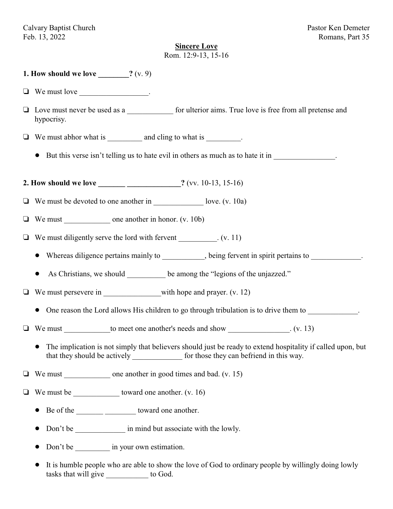Calvary Baptist Church Pastor Ken Demeter Feb. 13, 2022 Romans, Part 35

### **Sincere Love**

Rom. 12:9-13, 15-16

## **1. How should we love \_\_\_\_\_\_\_\_?** (v. 9)

- $\Box$  We must love
- □ Love must never be used as a \_\_\_\_\_\_\_\_\_\_\_\_\_ for ulterior aims. True love is free from all pretense and hypocrisy.
- $\Box$  We must abhor what is \_\_\_\_\_\_\_\_\_ and cling to what is \_\_\_\_\_\_\_\_.
	- But this verse isn't telling us to hate evil in others as much as to hate it in
- **2. How should we love \_\_\_\_\_\_\_ \_\_\_\_\_\_\_\_\_\_\_\_\_\_?** (vv. 10-13, 15-16)
- $\Box$  We must be devoted to one another in love. (v. 10a)
- $\Box$  We must one another in honor. (v. 10b)
- $\Box$  We must diligently serve the lord with fervent  $(v. 11)$ 
	- Whereas diligence pertains mainly to \_\_\_\_\_\_\_\_\_, being fervent in spirit pertains to \_\_\_\_\_\_\_\_\_\_.
	- As Christians, we should be among the "legions of the unjazzed."
- $\Box$  We must persevere in \_\_\_\_\_\_\_\_\_\_\_\_\_\_\_\_\_\_\_\_with hope and prayer. (v. 12)
	- One reason the Lord allows His children to go through tribulation is to drive them to
- $\Box$  We must to meet one another's needs and show  $(v. 13)$ 
	- ! The implication is not simply that believers should just be ready to extend hospitality if called upon, but that they should be actively for those they can befriend in this way.
- We must \_\_\_\_\_\_\_\_\_\_\_\_ one another in good times and bad. (v. 15)
- $\Box$  We must be toward one another. (v. 16)
	- Be of the \_\_\_\_\_\_\_\_\_\_\_\_\_\_\_\_\_\_\_\_\_\_\_\_ toward one another.
	- Don't be \_\_\_\_\_\_\_\_\_\_\_\_\_\_\_\_\_ in mind but associate with the lowly.
	- Don't be  $\qquad \qquad$  in your own estimation.
	- ! It is humble people who are able to show the love of God to ordinary people by willingly doing lowly tasks that will give \_\_\_\_\_\_\_\_\_\_ to God.